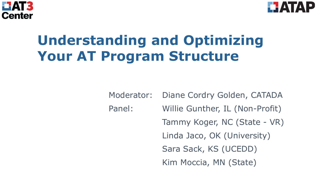



# **Understanding and Optimizing Your AT Program Structure**

Moderator: Diane Cordry Golden, CATADA Panel: Willie Gunther, IL (Non-Profit) Tammy Koger, NC (State - VR) Linda Jaco, OK (University) Sara Sack, KS (UCEDD) Kim Moccia, MN (State)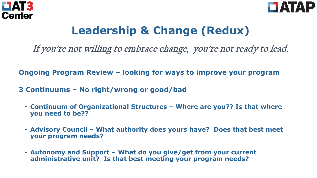



# **Leadership & Change (Redux)**

If you're not willing to embrace change, you're not ready to lead.

**Ongoing Program Review – looking for ways to improve your program**

- **3 Continuums – No right/wrong or good/bad** 
	- **Continuum of Organizational Structures – Where are you?? Is that where you need to be??**
	- **Advisory Council – What authority does yours have? Does that best meet your program needs?**
	- **Autonomy and Support – What do you give/get from your current administrative unit? Is that best meeting your program needs?**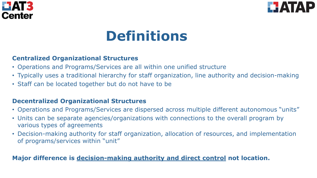



# **Definitions**

#### **Centralized Organizational Structures**

- Operations and Programs/Services are all within one unified structure
- Typically uses a traditional hierarchy for staff organization, line authority and decision-making
- Staff can be located together but do not have to be

#### **Decentralized Organizational Structures**

- Operations and Programs/Services are dispersed across multiple different autonomous "units"
- Units can be separate agencies/organizations with connections to the overall program by various types of agreements
- Decision-making authority for staff organization, allocation of resources, and implementation of programs/services within "unit"

#### **Major difference is decision-making authority and direct control not location.**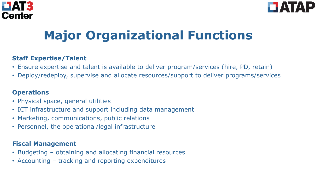



# **Major Organizational Functions**

#### **Staff Expertise/Talent**

- Ensure expertise and talent is available to deliver program/services (hire, PD, retain)
- Deploy/redeploy, supervise and allocate resources/support to deliver programs/services

#### **Operations**

- Physical space, general utilities
- ICT infrastructure and support including data management
- Marketing, communications, public relations
- Personnel, the operational/legal infrastructure

#### **Fiscal Management**

- Budgeting obtaining and allocating financial resources
- Accounting tracking and reporting expenditures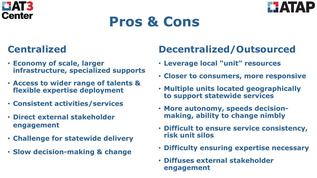



# **Pros & Cons**

## **Centralized**

- **Economy of scale, larger infrastructure, specialized supports**
- **Access to wider range of talents & flexible expertise deployment**
- **Consistent activities/services**
- **Direct external stakeholder engagement**
- **Challenge for statewide delivery**
- **Slow decision-making & change**

## **Decentralized/Outsourced**

- **Leverage local "unit" resources**
- **Closer to consumers, more responsive**
- **Multiple units located geographically to support statewide services**
- **More autonomy, speeds decisionmaking, ability to change nimbly**
- **Difficult to ensure service consistency, risk unit silos**
- **Difficulty ensuring expertise necessary**
- **Diffuses external stakeholder engagement**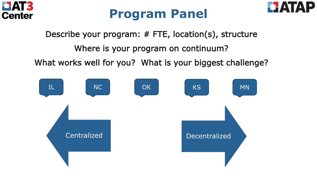





Describe your program: # FTE, location(s), structure

Where is your program on continuum?

What works well for you? What is your biggest challenge?

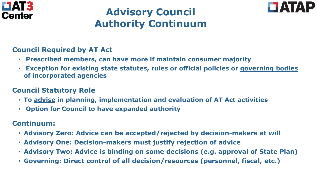



## **Advisory Council Authority Continuum**

#### **Council Required by AT Act**

- **Prescribed members, can have more if maintain consumer majority**
- **Exception for existing state statutes, rules or official policies or governing bodies of incorporated agencies**

#### **Council Statutory Role**

- **To advise in planning, implementation and evaluation of AT Act activities**
- **Option for Council to have expanded authority**

#### **Continuum:**

- **Advisory Zero: Advice can be accepted/rejected by decision-makers at will**
- **Advisory One: Decision-makers must justify rejection of advice**
- **Advisory Two: Advice is binding on some decisions (e.g. approval of State Plan)**
- **Governing: Direct control of all decision/resources (personnel, fiscal, etc.)**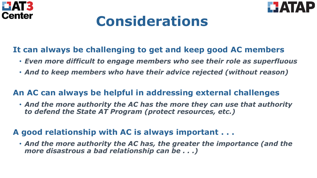



# **Considerations**

### **It can always be challenging to get and keep good AC members**

- *Even more difficult to engage members who see their role as superfluous*
- *And to keep members who have their advice rejected (without reason)*

### **An AC can always be helpful in addressing external challenges**

• *And the more authority the AC has the more they can use that authority to defend the State AT Program (protect resources, etc.)* 

### **A good relationship with AC is always important . . .**

• *And the more authority the AC has, the greater the importance (and the more disastrous a bad relationship can be . . .)*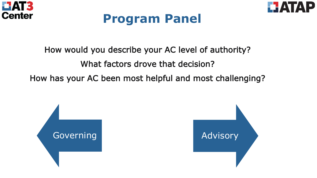



# **Program Panel**

### How would you describe your AC level of authority?

### What factors drove that decision?

How has your AC been most helpful and most challenging?

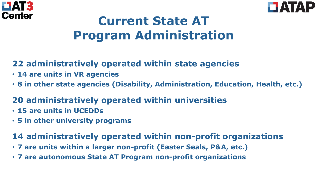



# **Current State AT Program Administration**

## **22 administratively operated within state agencies**

- **14 are units in VR agencies**
- **8 in other state agencies (Disability, Administration, Education, Health, etc.)**

## **20 administratively operated within universities**

- **15 are units in UCEDDs**
- **5 in other university programs**

## **14 administratively operated within non-profit organizations**

- **7 are units within a larger non-profit (Easter Seals, P&A, etc.)**
- **7 are autonomous State AT Program non-profit organizations**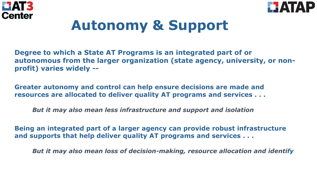



# **Autonomy & Support**

**Degree to which a State AT Programs is an integrated part of or autonomous from the larger organization (state agency, university, or nonprofit) varies widely --**

**Greater autonomy and control can help ensure decisions are made and resources are allocated to deliver quality AT programs and services . . .** 

*But it may also mean less infrastructure and support and isolation* 

**Being an integrated part of a larger agency can provide robust infrastructure and supports that help deliver quality AT programs and services . . .** 

*But it may also mean loss of decision-making, resource allocation and identify*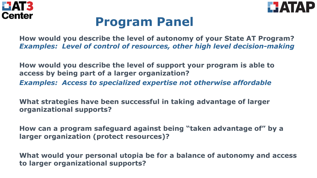



# **Program Panel**

**How would you describe the level of autonomy of your State AT Program?**  *Examples: Level of control of resources, other high level decision-making* 

**How would you describe the level of support your program is able to access by being part of a larger organization?**  *Examples: Access to specialized expertise not otherwise affordable* 

**What strategies have been successful in taking advantage of larger organizational supports?** 

**How can a program safeguard against being "taken advantage of" by a larger organization (protect resources)?** 

**What would your personal utopia be for a balance of autonomy and access to larger organizational supports?**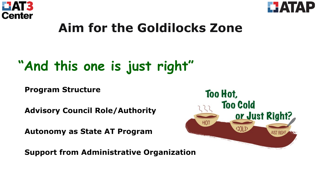



# **Aim for the Goldilocks Zone**

# **"And this one is just right"**

**Program Structure** 

**Advisory Council Role/Authority**

**Autonomy as State AT Program**

**Support from Administrative Organization**